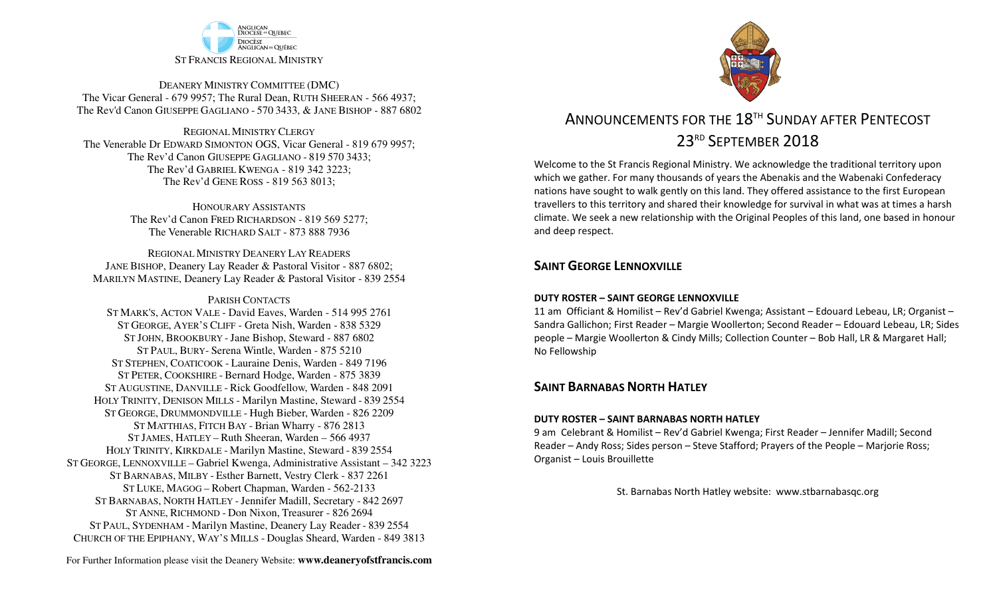

DEANERY MINISTRY COMMITTEE (DMC) The Vicar General - 679 9957; The Rural Dean, RUTH SHEERAN - 566 4937; The Rev'd Canon GIUSEPPE GAGLIANO - <sup>570</sup> 3433, & JANE BISHOP - 887 6802

REGIONAL MINISTRY CLERGY The Venerable Dr EDWARD SIMONTON OGS, Vicar General - 819 679 9957;The Rev'd Canon GIUSEPPE GAGLIANO - <sup>819</sup> <sup>570</sup> 3433; The Rev'd GABRIEL KWENGA - 819 342 3223;The Rev'd GENE ROSS - 819 563 8013;

> HONOURARY ASSISTANTS The Rev'd Canon FRED RICHARDSON - 819 569 5277;The Venerable RICHARD SALT - 873 888 7936

REGIONAL MINISTRY DEANERY LAY READERS JANE BISHOP, Deanery Lay Reader & Pastoral Visitor - 887 6802;MARILYN MASTINE, Deanery Lay Reader & Pastoral Visitor - 839 2554

#### PARISH CONTACTS

 ST MARK'S, ACTON VALE - David Eaves, Warden - 514 995 2761 ST GEORGE, AYER'S CLIFF - Greta Nish, Warden - 838 5329 ST JOHN, BROOKBURY -Jane Bishop, Steward - 887 6802 ST PAUL, BURY- Serena Wintle, Warden - 875 5210 ST STEPHEN, COATICOOK - Lauraine Denis, Warden - 849 7196 ST PETER, COOKSHIRE - Bernard Hodge, Warden - 875 3839 ST AUGUSTINE, DANVILLE - Rick Goodfellow, Warden - 848 2091 HOLY TRINITY, DENISON MILLS - Marilyn Mastine, Steward - <sup>839</sup> <sup>2554</sup> ST GEORGE, DRUMMONDVILLE - Hugh Bieber, Warden - 826 2209 ST MATTHIAS, FITCH BAY - Brian Wharry - 876 2813 ST JAMES, HATLEY – Ruth Sheeran, Warden – 566 4937 HOLY TRINITY, KIRKDALE - Marilyn Mastine, Steward - <sup>839</sup> <sup>2554</sup> ST GEORGE, LENNOXVILLE – Gabriel Kwenga, Administrative Assistant – 342 3223 ST BARNABAS, MILBY - Esther Barnett, Vestry Clerk - 837 2261 ST LUKE, MAGOG – Robert Chapman, Warden - 562-2133 ST BARNABAS, NORTH HATLEY -Jennifer Madill, Secretary - <sup>842</sup> <sup>2697</sup> ST ANNE, RICHMOND - Don Nixon, Treasurer - 826 <sup>2694</sup> ST PAUL, SYDENHAM - Marilyn Mastine, Deanery Lay Reader - <sup>839</sup> <sup>2554</sup> CHURCH OF THE EPIPHANY, WAY'S MILLS - Douglas Sheard, Warden - 849 3813



# ANNOUNCEMENTS FOR THE 18TH SUNDAY AFTER PENTECOST 23RD SEPTEMBER 2018

Welcome to the St Francis Regional Ministry. We acknowledge the traditional territory upon which we gather. For many thousands of years the Abenakis and the Wabenaki Confederacy nations have sought to walk gently on this land. They offered assistance to the first European travellers to this territory and shared their knowledge for survival in what was at times a harsh climate. We seek a new relationship with the Original Peoples of this land, one based in honour and deep respect.

### **SAINT GEORGE LENNOXVILLE**

#### **DUTY ROSTER – SAINT GEORGE LENNOXVILLE**

11 am Officiant & Homilist – Rev'd Gabriel Kwenga; Assistant – Edouard Lebeau, LR; Organist – Sandra Gallichon; First Reader – Margie Woollerton; Second Reader – Edouard Lebeau, LR; Sides people – Margie Woollerton & Cindy Mills; Collection Counter – Bob Hall, LR & Margaret Hall; No Fellowship

### **SAINT BARNABAS NORTH HATLEY**

#### **DUTY ROSTER – SAINT BARNABAS NORTH HATLEY**

9 am Celebrant & Homilist – Rev'd Gabriel Kwenga; First Reader – Jennifer Madill; Second Reader – Andy Ross; Sides person – Steve Stafford; Prayers of the People – Marjorie Ross; Organist – Louis Brouillette

St. Barnabas North Hatley website: www.stbarnabasqc.org

For Further Information please visit the Deanery Website: **www.deaneryofstfrancis.com**